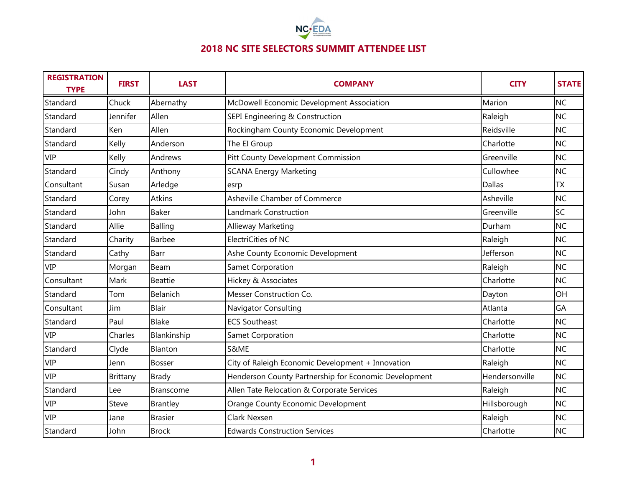

| <b>REGISTRATION</b><br><b>TYPE</b> | <b>FIRST</b> | <b>LAST</b>      | <b>COMPANY</b>                                        | <b>CITY</b>    | <b>STATE</b> |
|------------------------------------|--------------|------------------|-------------------------------------------------------|----------------|--------------|
| Standard                           | Chuck        | Abernathy        | McDowell Economic Development Association             | Marion         | <b>NC</b>    |
| Standard                           | Jennifer     | Allen            | SEPI Engineering & Construction                       | Raleigh        | <b>NC</b>    |
| Standard                           | Ken          | Allen            | Rockingham County Economic Development                | Reidsville     | <b>NC</b>    |
| Standard                           | Kelly        | Anderson         | The EI Group                                          | Charlotte      | <b>NC</b>    |
| <b>VIP</b>                         | Kelly        | Andrews          | Pitt County Development Commission                    | Greenville     | <b>NC</b>    |
| Standard                           | Cindy        | Anthony          | <b>SCANA Energy Marketing</b>                         | Cullowhee      | <b>NC</b>    |
| Consultant                         | Susan        | Arledge          | esrp                                                  | <b>Dallas</b>  | <b>ΤΧ</b>    |
| Standard                           | Corey        | Atkins           | Asheville Chamber of Commerce                         | Asheville      | <b>NC</b>    |
| Standard                           | John         | <b>Baker</b>     | Landmark Construction                                 | Greenville     | SC           |
| Standard                           | Allie        | Balling          | Allieway Marketing                                    | Durham         | <b>NC</b>    |
| Standard                           | Charity      | Barbee           | ElectriCities of NC                                   | Raleigh        | <b>NC</b>    |
| Standard                           | Cathy        | Barr             | Ashe County Economic Development                      | Jefferson      | <b>NC</b>    |
| <b>VIP</b>                         | Morgan       | Beam             | Samet Corporation                                     | Raleigh        | <b>NC</b>    |
| Consultant                         | Mark         | <b>Beattie</b>   | Hickey & Associates                                   | Charlotte      | <b>NC</b>    |
| Standard                           | Tom          | Belanich         | Messer Construction Co.                               | Dayton         | OH           |
| Consultant                         | Jim          | <b>Blair</b>     | Navigator Consulting                                  | Atlanta        | GA           |
| Standard                           | Paul         | Blake            | <b>ECS Southeast</b>                                  | Charlotte      | <b>NC</b>    |
| <b>VIP</b>                         | Charles      | Blankinship      | Samet Corporation                                     | Charlotte      | <b>NC</b>    |
| Standard                           | Clyde        | Blanton          | S&ME                                                  | Charlotte      | <b>NC</b>    |
| <b>VIP</b>                         | Jenn         | <b>Bosser</b>    | City of Raleigh Economic Development + Innovation     | Raleigh        | <b>NC</b>    |
| <b>VIP</b>                         | Brittany     | Brady            | Henderson County Partnership for Economic Development | Hendersonville | <b>NC</b>    |
| Standard                           | Lee          | <b>Branscome</b> | Allen Tate Relocation & Corporate Services            | Raleigh        | <b>NC</b>    |
| <b>VIP</b>                         | Steve        | Brantley         | Orange County Economic Development                    | Hillsborough   | <b>NC</b>    |
| <b>VIP</b>                         | Jane         | <b>Brasier</b>   | Clark Nexsen                                          | Raleigh        | <b>NC</b>    |
| Standard                           | John         | <b>Brock</b>     | <b>Edwards Construction Services</b>                  | Charlotte      | <b>NC</b>    |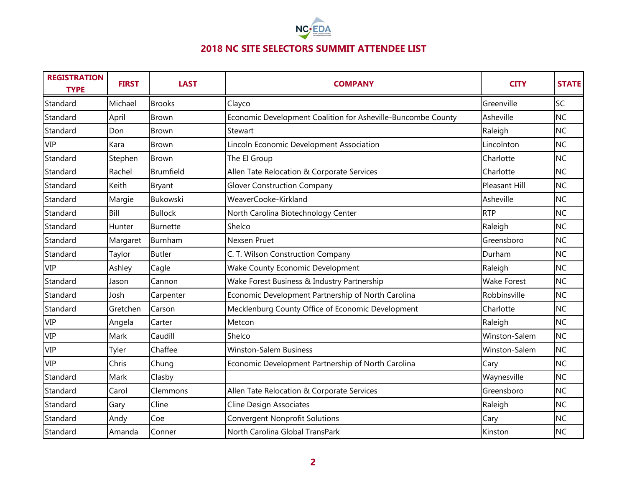

| <b>REGISTRATION</b><br><b>TYPE</b> | <b>FIRST</b> | <b>LAST</b>      | <b>COMPANY</b>                                               | <b>CITY</b>          | <b>STATE</b> |
|------------------------------------|--------------|------------------|--------------------------------------------------------------|----------------------|--------------|
| Standard                           | Michael      | <b>Brooks</b>    | Clayco                                                       | Greenville           | <b>SC</b>    |
| Standard                           | April        | <b>Brown</b>     | Economic Development Coalition for Asheville-Buncombe County | Asheville            | <b>NC</b>    |
| Standard                           | Don          | <b>Brown</b>     | Stewart                                                      | Raleigh              | <b>NC</b>    |
| <b>VIP</b>                         | Kara         | Brown            | Lincoln Economic Development Association                     | Lincolnton           | <b>NC</b>    |
| Standard                           | Stephen      | <b>Brown</b>     | The EI Group                                                 | Charlotte            | <b>NC</b>    |
| Standard                           | Rachel       | <b>Brumfield</b> | Allen Tate Relocation & Corporate Services                   | Charlotte            | <b>NC</b>    |
| Standard                           | Keith        | Bryant           | <b>Glover Construction Company</b>                           | <b>Pleasant Hill</b> | <b>NC</b>    |
| Standard                           | Margie       | <b>Bukowski</b>  | WeaverCooke-Kirkland                                         | Asheville            | <b>NC</b>    |
| Standard                           | Bill         | <b>Bullock</b>   | North Carolina Biotechnology Center                          | <b>RTP</b>           | <b>NC</b>    |
| Standard                           | Hunter       | <b>Burnette</b>  | Shelco                                                       | Raleigh              | <b>NC</b>    |
| Standard                           | Margaret     | Burnham          | Nexsen Pruet                                                 | Greensboro           | <b>NC</b>    |
| Standard                           | Taylor       | <b>Butler</b>    | C. T. Wilson Construction Company                            | Durham               | <b>NC</b>    |
| <b>VIP</b>                         | Ashley       | Cagle            | Wake County Economic Development                             | Raleigh              | <b>NC</b>    |
| Standard                           | Jason        | Cannon           | Wake Forest Business & Industry Partnership                  | <b>Wake Forest</b>   | <b>NC</b>    |
| Standard                           | Josh         | Carpenter        | Economic Development Partnership of North Carolina           | Robbinsville         | <b>NC</b>    |
| Standard                           | Gretchen     | Carson           | Mecklenburg County Office of Economic Development            | Charlotte            | <b>NC</b>    |
| <b>VIP</b>                         | Angela       | Carter           | Metcon                                                       | Raleigh              | <b>NC</b>    |
| <b>VIP</b>                         | Mark         | Caudill          | Shelco                                                       | Winston-Salem        | <b>NC</b>    |
| <b>VIP</b>                         | Tyler        | Chaffee          | <b>Winston-Salem Business</b>                                | Winston-Salem        | <b>NC</b>    |
| <b>VIP</b>                         | Chris        | Chung            | Economic Development Partnership of North Carolina           | Cary                 | <b>NC</b>    |
| Standard                           | Mark         | Clasby           |                                                              | Waynesville          | <b>NC</b>    |
| Standard                           | Carol        | Clemmons         | Allen Tate Relocation & Corporate Services                   | Greensboro           | <b>NC</b>    |
| Standard                           | Gary         | Cline            | <b>Cline Design Associates</b>                               | Raleigh              | <b>NC</b>    |
| Standard                           | Andy         | Coe              | <b>Convergent Nonprofit Solutions</b>                        | Cary                 | <b>NC</b>    |
| Standard                           | Amanda       | Conner           | North Carolina Global TransPark                              | Kinston              | <b>NC</b>    |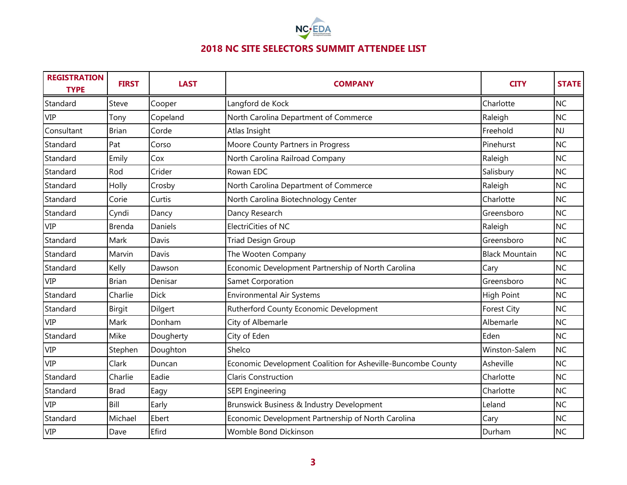

| <b>REGISTRATION</b><br><b>TYPE</b> | <b>FIRST</b> | <b>LAST</b> | <b>COMPANY</b>                                               | <b>CITY</b>           | <b>STATE</b> |
|------------------------------------|--------------|-------------|--------------------------------------------------------------|-----------------------|--------------|
| Standard                           | Steve        | Cooper      | Langford de Kock                                             | Charlotte             | <b>NC</b>    |
| <b>VIP</b>                         | Tony         | Copeland    | North Carolina Department of Commerce                        | Raleigh               | <b>NC</b>    |
| Consultant                         | <b>Brian</b> | Corde       | Atlas Insight                                                | Freehold              | <b>NJ</b>    |
| Standard                           | Pat          | Corso       | Moore County Partners in Progress                            | Pinehurst             | <b>NC</b>    |
| Standard                           | Emily        | Cox         | North Carolina Railroad Company                              | Raleigh               | <b>NC</b>    |
| Standard                           | Rod          | Crider      | Rowan EDC                                                    | Salisbury             | <b>NC</b>    |
| Standard                           | Holly        | Crosby      | North Carolina Department of Commerce                        | Raleigh               | <b>NC</b>    |
| Standard                           | Corie        | Curtis      | North Carolina Biotechnology Center                          | Charlotte             | <b>NC</b>    |
| Standard                           | Cyndi        | Dancy       | Dancy Research                                               | Greensboro            | <b>NC</b>    |
| <b>VIP</b>                         | Brenda       | Daniels     | ElectriCities of NC                                          | Raleigh               | <b>NC</b>    |
| Standard                           | Mark         | Davis       | <b>Triad Design Group</b>                                    | Greensboro            | <b>NC</b>    |
| Standard                           | Marvin       | Davis       | The Wooten Company                                           | <b>Black Mountain</b> | <b>NC</b>    |
| Standard                           | Kelly        | Dawson      | Economic Development Partnership of North Carolina           | Cary                  | <b>NC</b>    |
| <b>VIP</b>                         | <b>Brian</b> | Denisar     | Samet Corporation                                            | Greensboro            | <b>NC</b>    |
| Standard                           | Charlie      | <b>Dick</b> | <b>Environmental Air Systems</b>                             | High Point            | <b>NC</b>    |
| Standard                           | Birgit       | Dilgert     | Rutherford County Economic Development                       | <b>Forest City</b>    | <b>NC</b>    |
| <b>VIP</b>                         | Mark         | Donham      | City of Albemarle                                            | Albemarle             | <b>NC</b>    |
| Standard                           | Mike         | Dougherty   | City of Eden                                                 | Eden                  | <b>NC</b>    |
| <b>VIP</b>                         | Stephen      | Doughton    | Shelco                                                       | Winston-Salem         | <b>NC</b>    |
| <b>VIP</b>                         | Clark        | Duncan      | Economic Development Coalition for Asheville-Buncombe County | Asheville             | <b>NC</b>    |
| Standard                           | Charlie      | Eadie       | <b>Claris Construction</b>                                   | Charlotte             | <b>NC</b>    |
| Standard                           | <b>Brad</b>  | Eagy        | <b>SEPI Engineering</b>                                      | Charlotte             | <b>NC</b>    |
| <b>VIP</b>                         | Bill         | Early       | Brunswick Business & Industry Development                    | Leland                | <b>NC</b>    |
| Standard                           | Michael      | Ebert       | Economic Development Partnership of North Carolina           | Cary                  | <b>NC</b>    |
| <b>VIP</b>                         | Dave         | Efird       | <b>Womble Bond Dickinson</b>                                 | Durham                | <b>NC</b>    |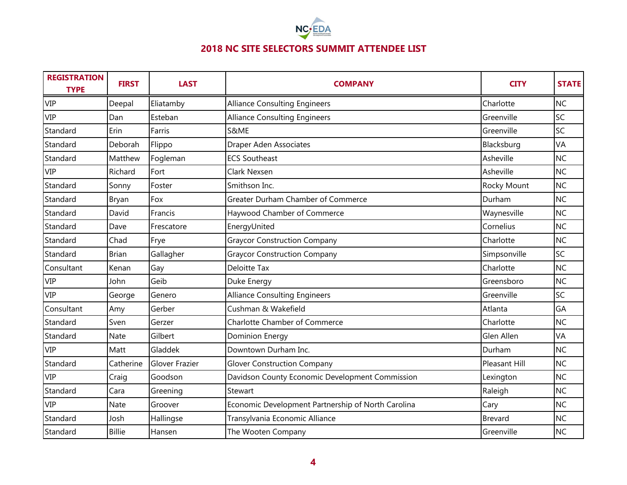

| <b>REGISTRATION</b><br><b>TYPE</b> | <b>FIRST</b>  | <b>LAST</b>    | <b>COMPANY</b>                                     | <b>CITY</b>    | <b>STATE</b> |
|------------------------------------|---------------|----------------|----------------------------------------------------|----------------|--------------|
| <b>VIP</b>                         | Deepal        | Eliatamby      | <b>Alliance Consulting Engineers</b>               | Charlotte      | <b>NC</b>    |
| <b>VIP</b>                         | Dan           | Esteban        | <b>Alliance Consulting Engineers</b>               | Greenville     | <b>SC</b>    |
| Standard                           | Erin          | Farris         | S&ME                                               | Greenville     | SC           |
| Standard                           | Deborah       | Flippo         | <b>Draper Aden Associates</b>                      | Blacksburg     | VA           |
| Standard                           | Matthew       | Fogleman       | <b>ECS Southeast</b>                               | Asheville      | <b>NC</b>    |
| <b>VIP</b>                         | Richard       | Fort           | Clark Nexsen                                       | Asheville      | NC           |
| Standard                           | Sonny         | Foster         | Smithson Inc.                                      | Rocky Mount    | <b>NC</b>    |
| Standard                           | Bryan         | Fox            | Greater Durham Chamber of Commerce                 | Durham         | <b>NC</b>    |
| Standard                           | David         | Francis        | Haywood Chamber of Commerce                        | Waynesville    | <b>NC</b>    |
| Standard                           | Dave          | Frescatore     | EnergyUnited                                       | Cornelius      | <b>NC</b>    |
| Standard                           | Chad          | Frye           | <b>Graycor Construction Company</b>                | Charlotte      | NC           |
| Standard                           | <b>Brian</b>  | Gallagher      | <b>Graycor Construction Company</b>                | Simpsonville   | SC           |
| Consultant                         | Kenan         | Gay            | <b>Deloitte Tax</b>                                | Charlotte      | <b>NC</b>    |
| <b>VIP</b>                         | John          | Geib           | Duke Energy                                        | Greensboro     | <b>NC</b>    |
| <b>VIP</b>                         | George        | Genero         | <b>Alliance Consulting Engineers</b>               | Greenville     | <b>SC</b>    |
| Consultant                         | Amy           | Gerber         | Cushman & Wakefield                                | Atlanta        | GA           |
| Standard                           | Sven          | Gerzer         | <b>Charlotte Chamber of Commerce</b>               | Charlotte      | <b>NC</b>    |
| Standard                           | Nate          | Gilbert        | Dominion Energy                                    | Glen Allen     | VA           |
| <b>VIP</b>                         | Matt          | Gladdek        | Downtown Durham Inc.                               | Durham         | <b>NC</b>    |
| Standard                           | Catherine     | Glover Frazier | <b>Glover Construction Company</b>                 | Pleasant Hill  | <b>NC</b>    |
| <b>VIP</b>                         | Craig         | Goodson        | Davidson County Economic Development Commission    | Lexington      | <b>NC</b>    |
| Standard                           | Cara          | Greening       | Stewart                                            | Raleigh        | <b>NC</b>    |
| <b>VIP</b>                         | Nate          | Groover        | Economic Development Partnership of North Carolina | Cary           | <b>NC</b>    |
| Standard                           | Josh          | Hallingse      | Transylvania Economic Alliance                     | <b>Brevard</b> | <b>NC</b>    |
| Standard                           | <b>Billie</b> | Hansen         | The Wooten Company                                 | Greenville     | <b>NC</b>    |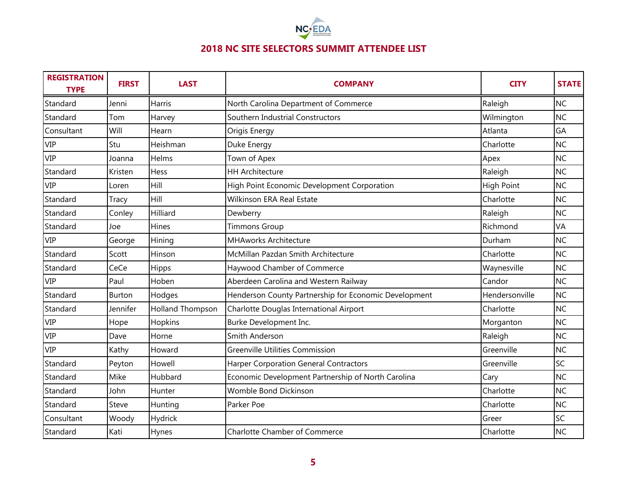

| <b>REGISTRATION</b><br><b>TYPE</b> | <b>FIRST</b> | <b>LAST</b>             | <b>COMPANY</b>                                        | <b>CITY</b>    | <b>STATE</b> |
|------------------------------------|--------------|-------------------------|-------------------------------------------------------|----------------|--------------|
| Standard                           | Jenni        | <b>Harris</b>           | North Carolina Department of Commerce                 | Raleigh        | <b>NC</b>    |
| Standard                           | Tom          | Harvey                  | Southern Industrial Constructors                      | Wilmington     | <b>NC</b>    |
| Consultant                         | Will         | Hearn                   | Origis Energy                                         | Atlanta        | GA           |
| <b>VIP</b>                         | Stu          | Heishman                | Duke Energy                                           | Charlotte      | <b>NC</b>    |
| <b>VIP</b>                         | Joanna       | Helms                   | Town of Apex                                          | Apex           | <b>NC</b>    |
| Standard                           | Kristen      | Hess                    | <b>HH Architecture</b>                                | Raleigh        | <b>NC</b>    |
| <b>VIP</b>                         | Loren        | Hill                    | High Point Economic Development Corporation           | High Point     | <b>NC</b>    |
| Standard                           | Tracy        | Hill                    | <b>Wilkinson ERA Real Estate</b>                      | Charlotte      | <b>NC</b>    |
| Standard                           | Conley       | Hilliard                | Dewberry                                              | Raleigh        | <b>NC</b>    |
| Standard                           | Joe          | Hines                   | <b>Timmons Group</b>                                  | Richmond       | VA           |
| <b>VIP</b>                         | George       | Hining                  | <b>MHAworks Architecture</b>                          | Durham         | <b>NC</b>    |
| Standard                           | Scott        | Hinson                  | McMillan Pazdan Smith Architecture                    | Charlotte      | <b>NC</b>    |
| Standard                           | CeCe         | Hipps                   | Haywood Chamber of Commerce                           | Waynesville    | <b>NC</b>    |
| <b>VIP</b>                         | Paul         | Hoben                   | Aberdeen Carolina and Western Railway                 | Candor         | <b>NC</b>    |
| Standard                           | Burton       | Hodges                  | Henderson County Partnership for Economic Development | Hendersonville | <b>NC</b>    |
| Standard                           | Jennifer     | <b>Holland Thompson</b> | Charlotte Douglas International Airport               | Charlotte      | <b>NC</b>    |
| <b>VIP</b>                         | Hope         | Hopkins                 | Burke Development Inc.                                | Morganton      | <b>NC</b>    |
| <b>VIP</b>                         | Dave         | Horne                   | Smith Anderson                                        | Raleigh        | <b>NC</b>    |
| <b>VIP</b>                         | Kathy        | Howard                  | <b>Greenville Utilities Commission</b>                | Greenville     | <b>NC</b>    |
| Standard                           | Peyton       | Howell                  | Harper Corporation General Contractors                | Greenville     | SC           |
| Standard                           | Mike         | Hubbard                 | Economic Development Partnership of North Carolina    | Cary           | <b>NC</b>    |
| Standard                           | John         | Hunter                  | Womble Bond Dickinson                                 | Charlotte      | <b>NC</b>    |
| Standard                           | Steve        | Hunting                 | Parker Poe                                            | Charlotte      | <b>NC</b>    |
| Consultant                         | Woody        | Hydrick                 |                                                       | Greer          | SC           |
| Standard                           | Kati         | Hynes                   | <b>Charlotte Chamber of Commerce</b>                  | Charlotte      | <b>NC</b>    |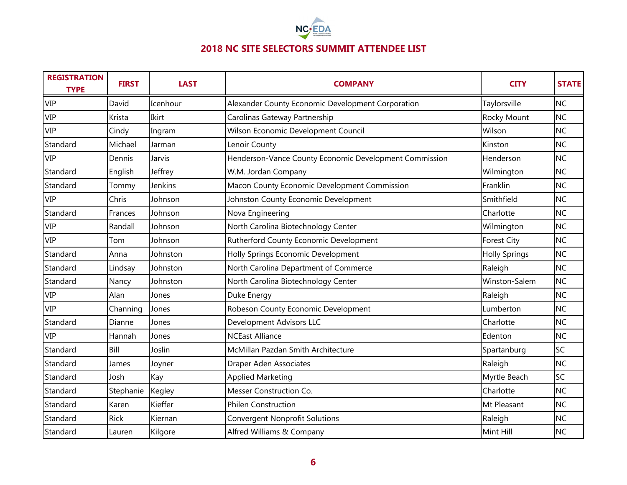

| <b>REGISTRATION</b><br><b>TYPE</b> | <b>FIRST</b> | <b>LAST</b> | <b>COMPANY</b>                                         | <b>CITY</b>          | <b>STATE</b> |
|------------------------------------|--------------|-------------|--------------------------------------------------------|----------------------|--------------|
| <b>VIP</b>                         | David        | Icenhour    | Alexander County Economic Development Corporation      | Taylorsville         | <b>NC</b>    |
| <b>VIP</b>                         | Krista       | Ikirt       | Carolinas Gateway Partnership                          | Rocky Mount          | <b>NC</b>    |
| <b>VIP</b>                         | Cindy        | Ingram      | Wilson Economic Development Council                    | Wilson               | <b>NC</b>    |
| Standard                           | Michael      | Jarman      | Lenoir County                                          | Kinston              | <b>NC</b>    |
| <b>VIP</b>                         | Dennis       | Jarvis      | Henderson-Vance County Economic Development Commission | Henderson            | <b>NC</b>    |
| Standard                           | English      | Jeffrey     | W.M. Jordan Company                                    | Wilmington           | <b>NC</b>    |
| Standard                           | Tommy        | Jenkins     | Macon County Economic Development Commission           | Franklin             | <b>NC</b>    |
| <b>VIP</b>                         | Chris        | Johnson     | Johnston County Economic Development                   | Smithfield           | <b>NC</b>    |
| Standard                           | Frances      | Johnson     | Nova Engineering                                       | Charlotte            | <b>NC</b>    |
| <b>VIP</b>                         | Randall      | Johnson     | North Carolina Biotechnology Center                    | Wilmington           | <b>NC</b>    |
| <b>VIP</b>                         | Tom          | Johnson     | Rutherford County Economic Development                 | <b>Forest City</b>   | <b>NC</b>    |
| Standard                           | Anna         | Johnston    | Holly Springs Economic Development                     | <b>Holly Springs</b> | <b>NC</b>    |
| Standard                           | Lindsay      | Johnston    | North Carolina Department of Commerce                  | Raleigh              | <b>NC</b>    |
| Standard                           | Nancy        | Johnston    | North Carolina Biotechnology Center                    | Winston-Salem        | <b>NC</b>    |
| <b>VIP</b>                         | Alan         | Jones       | Duke Energy                                            | Raleigh              | <b>NC</b>    |
| <b>VIP</b>                         | Channing     | Jones       | Robeson County Economic Development                    | Lumberton            | <b>NC</b>    |
| Standard                           | Dianne       | Jones       | Development Advisors LLC                               | Charlotte            | <b>NC</b>    |
| <b>VIP</b>                         | Hannah       | Jones       | <b>NCEast Alliance</b>                                 | Edenton              | <b>NC</b>    |
| Standard                           | Bill         | Joslin      | McMillan Pazdan Smith Architecture                     | Spartanburg          | SC           |
| Standard                           | James        | Joyner      | Draper Aden Associates                                 | Raleigh              | <b>NC</b>    |
| Standard                           | Josh         | Kay         | <b>Applied Marketing</b>                               | Myrtle Beach         | SC           |
| Standard                           | Stephanie    | Kegley      | Messer Construction Co.                                | Charlotte            | <b>NC</b>    |
| Standard                           | Karen        | Kieffer     | <b>Philen Construction</b>                             | Mt Pleasant          | <b>NC</b>    |
| Standard                           | <b>Rick</b>  | Kiernan     | <b>Convergent Nonprofit Solutions</b>                  | Raleigh              | <b>NC</b>    |
| Standard                           | Lauren       | Kilgore     | Alfred Williams & Company                              | Mint Hill            | <b>NC</b>    |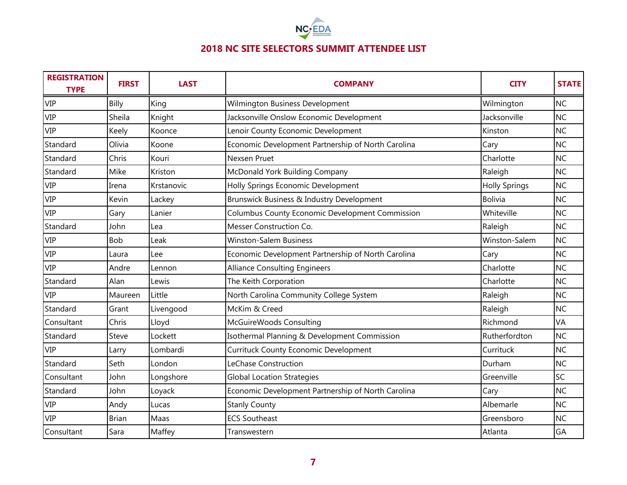

| <b>REGISTRATION</b><br><b>TYPE</b> | <b>FIRST</b> | <b>LAST</b> | <b>COMPANY</b>                                     | <b>CITY</b>          | <b>STATE</b> |
|------------------------------------|--------------|-------------|----------------------------------------------------|----------------------|--------------|
| <b>VIP</b>                         | Billy        | King        | Wilmington Business Development                    | Wilmington           | <b>NC</b>    |
| <b>VIP</b>                         | Sheila       | Knight      | Jacksonville Onslow Economic Development           | Jacksonville         | <b>NC</b>    |
| <b>VIP</b>                         | Keely        | Koonce      | Lenoir County Economic Development                 | Kinston              | <b>NC</b>    |
| Standard                           | Olivia       | Koone       | Economic Development Partnership of North Carolina | Cary                 | <b>NC</b>    |
| Standard                           | Chris        | Kouri       | Nexsen Pruet                                       | Charlotte            | <b>NC</b>    |
| Standard                           | Mike         | Kriston     | McDonald York Building Company                     | Raleigh              | <b>NC</b>    |
| <b>VIP</b>                         | Irena        | Krstanovic  | Holly Springs Economic Development                 | <b>Holly Springs</b> | <b>NC</b>    |
| <b>VIP</b>                         | Kevin        | Lackey      | Brunswick Business & Industry Development          | <b>Bolivia</b>       | <b>NC</b>    |
| <b>VIP</b>                         | Gary         | Lanier      | Columbus County Economic Development Commission    | Whiteville           | <b>NC</b>    |
| Standard                           | John         | Lea         | Messer Construction Co.                            | Raleigh              | <b>NC</b>    |
| <b>VIP</b>                         | Bob          | Leak        | <b>Winston-Salem Business</b>                      | Winston-Salem        | <b>NC</b>    |
| <b>VIP</b>                         | Laura        | Lee         | Economic Development Partnership of North Carolina | Cary                 | <b>NC</b>    |
| <b>VIP</b>                         | Andre        | Lennon      | <b>Alliance Consulting Engineers</b>               | Charlotte            | <b>NC</b>    |
| Standard                           | Alan         | Lewis       | The Keith Corporation                              | Charlotte            | <b>NC</b>    |
| <b>VIP</b>                         | Maureen      | Little      | North Carolina Community College System            | Raleigh              | <b>NC</b>    |
| Standard                           | Grant        | Livengood   | McKim & Creed                                      | Raleigh              | <b>NC</b>    |
| Consultant                         | Chris        | Lloyd       | McGuireWoods Consulting                            | Richmond             | VA           |
| Standard                           | Steve        | Lockett     | Isothermal Planning & Development Commission       | Rutherfordton        | <b>NC</b>    |
| <b>VIP</b>                         | Larry        | Lombardi    | <b>Currituck County Economic Development</b>       | Currituck            | <b>NC</b>    |
| Standard                           | Seth         | London      | LeChase Construction                               | Durham               | <b>NC</b>    |
| Consultant                         | John         | Longshore   | <b>Global Location Strategies</b>                  | Greenville           | SC           |
| Standard                           | John         | Loyack      | Economic Development Partnership of North Carolina | Cary                 | <b>NC</b>    |
| <b>VIP</b>                         | Andy         | Lucas       | <b>Stanly County</b>                               | Albemarle            | <b>NC</b>    |
| <b>VIP</b>                         | <b>Brian</b> | Maas        | <b>ECS Southeast</b>                               | Greensboro           | <b>NC</b>    |
| Consultant                         | Sara         | Maffey      | Transwestern                                       | Atlanta              | GA           |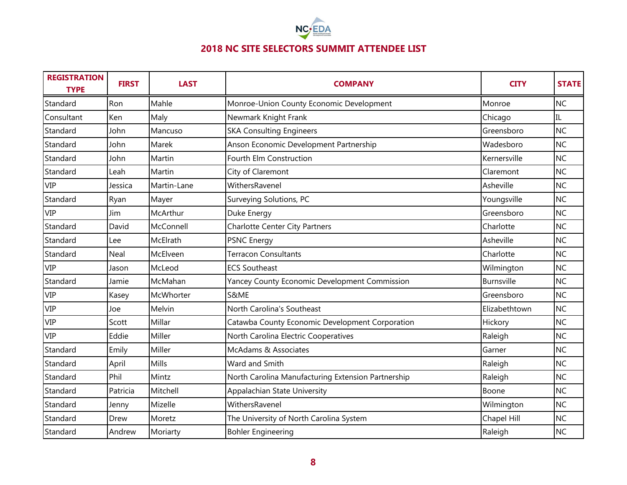

| <b>REGISTRATION</b><br><b>TYPE</b> | <b>FIRST</b> | <b>LAST</b>  | <b>COMPANY</b>                                     | <b>CITY</b>   | <b>STATE</b> |
|------------------------------------|--------------|--------------|----------------------------------------------------|---------------|--------------|
| Standard                           | Ron          | Mahle        | Monroe-Union County Economic Development           | Monroe        | <b>NC</b>    |
| Consultant                         | Ken          | Maly         | Newmark Knight Frank                               | Chicago       | IL.          |
| Standard                           | John         | Mancuso      | <b>SKA Consulting Engineers</b>                    | Greensboro    | <b>NC</b>    |
| Standard                           | John         | Marek        | Anson Economic Development Partnership             | Wadesboro     | <b>NC</b>    |
| Standard                           | John         | Martin       | Fourth Elm Construction                            | Kernersville  | <b>NC</b>    |
| Standard                           | Leah         | Martin       | City of Claremont                                  | Claremont     | <b>NC</b>    |
| <b>VIP</b>                         | Jessica      | Martin-Lane  | WithersRavenel                                     | Asheville     | <b>NC</b>    |
| Standard                           | Ryan         | Mayer        | Surveying Solutions, PC                            | Youngsville   | <b>NC</b>    |
| <b>VIP</b>                         | Jim          | McArthur     | Duke Energy                                        | Greensboro    | <b>NC</b>    |
| Standard                           | David        | McConnell    | <b>Charlotte Center City Partners</b>              | Charlotte     | <b>NC</b>    |
| Standard                           | Lee          | McElrath     | <b>PSNC Energy</b>                                 | Asheville     | <b>NC</b>    |
| Standard                           | Neal         | McElveen     | <b>Terracon Consultants</b>                        | Charlotte     | <b>NC</b>    |
| <b>VIP</b>                         | Jason        | McLeod       | <b>ECS Southeast</b>                               | Wilmington    | <b>NC</b>    |
| Standard                           | Jamie        | McMahan      | Yancey County Economic Development Commission      | Burnsville    | <b>NC</b>    |
| <b>VIP</b>                         | Kasey        | McWhorter    | S&ME                                               | Greensboro    | <b>NC</b>    |
| <b>VIP</b>                         | Joe          | Melvin       | North Carolina's Southeast                         | Elizabethtown | <b>NC</b>    |
| <b>VIP</b>                         | Scott        | Millar       | Catawba County Economic Development Corporation    | Hickory       | <b>NC</b>    |
| <b>VIP</b>                         | Eddie        | Miller       | North Carolina Electric Cooperatives               | Raleigh       | <b>NC</b>    |
| Standard                           | Emily        | Miller       | McAdams & Associates                               | Garner        | <b>NC</b>    |
| Standard                           | April        | <b>Mills</b> | Ward and Smith                                     | Raleigh       | <b>NC</b>    |
| Standard                           | Phil         | Mintz        | North Carolina Manufacturing Extension Partnership | Raleigh       | <b>NC</b>    |
| Standard                           | Patricia     | Mitchell     | Appalachian State University                       | Boone         | <b>NC</b>    |
| Standard                           | Jenny        | Mizelle      | WithersRavenel                                     | Wilmington    | <b>NC</b>    |
| Standard                           | Drew         | Moretz       | The University of North Carolina System            | Chapel Hill   | <b>NC</b>    |
| Standard                           | Andrew       | Moriarty     | <b>Bohler Engineering</b>                          | Raleigh       | <b>NC</b>    |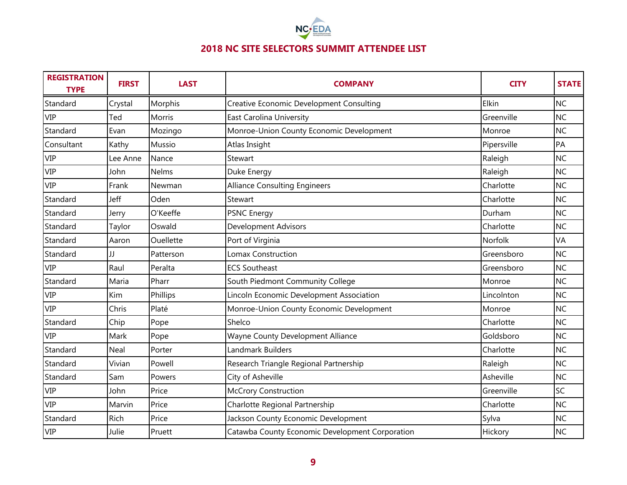

| <b>REGISTRATION</b><br><b>TYPE</b> | <b>FIRST</b> | <b>LAST</b>   | <b>COMPANY</b>                                  | <b>CITY</b> | <b>STATE</b> |
|------------------------------------|--------------|---------------|-------------------------------------------------|-------------|--------------|
| Standard                           | Crystal      | Morphis       | <b>Creative Economic Development Consulting</b> | Elkin       | <b>NC</b>    |
| <b>VIP</b>                         | Ted          | <b>Morris</b> | East Carolina University                        | Greenville  | <b>NC</b>    |
| Standard                           | Evan         | Mozingo       | Monroe-Union County Economic Development        | Monroe      | <b>NC</b>    |
| Consultant                         | Kathy        | Mussio        | Atlas Insight                                   | Pipersville | PA           |
| <b>VIP</b>                         | Lee Anne     | Nance         | Stewart                                         | Raleigh     | <b>NC</b>    |
| <b>VIP</b>                         | John         | Nelms         | Duke Energy                                     | Raleigh     | <b>NC</b>    |
| <b>VIP</b>                         | Frank        | Newman        | <b>Alliance Consulting Engineers</b>            | Charlotte   | <b>NC</b>    |
| Standard                           | Jeff         | Oden          | Stewart                                         | Charlotte   | <b>NC</b>    |
| Standard                           | Jerry        | O'Keeffe      | <b>PSNC Energy</b>                              | Durham      | <b>NC</b>    |
| Standard                           | Taylor       | Oswald        | <b>Development Advisors</b>                     | Charlotte   | <b>NC</b>    |
| Standard                           | Aaron        | Ouellette     | Port of Virginia                                | Norfolk     | VA           |
| Standard                           | П            | Patterson     | <b>Lomax Construction</b>                       | Greensboro  | <b>NC</b>    |
| <b>VIP</b>                         | Raul         | Peralta       | <b>ECS Southeast</b>                            | Greensboro  | <b>NC</b>    |
| Standard                           | Maria        | Pharr         | South Piedmont Community College                | Monroe      | <b>NC</b>    |
| <b>VIP</b>                         | Kim          | Phillips      | Lincoln Economic Development Association        | Lincolnton  | <b>NC</b>    |
| <b>VIP</b>                         | Chris        | Platé         | Monroe-Union County Economic Development        | Monroe      | <b>NC</b>    |
| Standard                           | Chip         | Pope          | Shelco                                          | Charlotte   | <b>NC</b>    |
| <b>VIP</b>                         | Mark         | Pope          | Wayne County Development Alliance               | Goldsboro   | <b>NC</b>    |
| Standard                           | Neal         | Porter        | Landmark Builders                               | Charlotte   | <b>NC</b>    |
| Standard                           | Vivian       | Powell        | Research Triangle Regional Partnership          | Raleigh     | <b>NC</b>    |
| Standard                           | Sam          | Powers        | City of Asheville                               | Asheville   | <b>NC</b>    |
| <b>VIP</b>                         | John         | Price         | <b>McCrory Construction</b>                     | Greenville  | SC           |
| <b>VIP</b>                         | Marvin       | Price         | Charlotte Regional Partnership                  | Charlotte   | <b>NC</b>    |
| Standard                           | Rich         | Price         | Jackson County Economic Development             | Sylva       | <b>NC</b>    |
| <b>VIP</b>                         | Julie        | Pruett        | Catawba County Economic Development Corporation | Hickory     | <b>NC</b>    |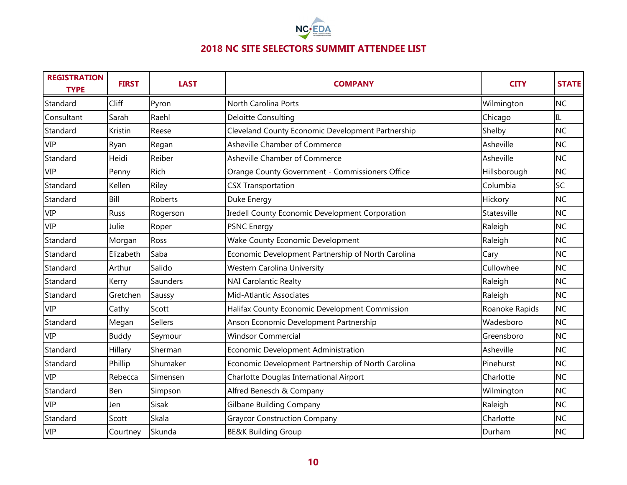

| <b>REGISTRATION</b><br><b>TYPE</b> | <b>FIRST</b> | <b>LAST</b>    | <b>COMPANY</b>                                     | <b>CITY</b>    | <b>STATE</b> |
|------------------------------------|--------------|----------------|----------------------------------------------------|----------------|--------------|
| Standard                           | Cliff        | Pyron          | <b>North Carolina Ports</b>                        | Wilmington     | <b>NC</b>    |
| Consultant                         | Sarah        | Raehl          | Deloitte Consulting                                | Chicago        | IL           |
| Standard                           | Kristin      | Reese          | Cleveland County Economic Development Partnership  | Shelby         | <b>NC</b>    |
| <b>VIP</b>                         | Ryan         | Regan          | Asheville Chamber of Commerce                      | Asheville      | <b>NC</b>    |
| Standard                           | Heidi        | Reiber         | Asheville Chamber of Commerce                      | Asheville      | <b>NC</b>    |
| <b>VIP</b>                         | Penny        | Rich           | Orange County Government - Commissioners Office    | Hillsborough   | <b>NC</b>    |
| Standard                           | Kellen       | Riley          | <b>CSX Transportation</b>                          | Columbia       | SC           |
| Standard                           | Bill         | <b>Roberts</b> | Duke Energy                                        | Hickory        | <b>NC</b>    |
| <b>VIP</b>                         | Russ         | Rogerson       | Iredell County Economic Development Corporation    | Statesville    | <b>NC</b>    |
| <b>VIP</b>                         | Julie        | Roper          | <b>PSNC Energy</b>                                 | Raleigh        | <b>NC</b>    |
| Standard                           | Morgan       | Ross           | Wake County Economic Development                   | Raleigh        | <b>NC</b>    |
| Standard                           | Elizabeth    | Saba           | Economic Development Partnership of North Carolina | Cary           | <b>NC</b>    |
| Standard                           | Arthur       | Salido         | <b>Western Carolina University</b>                 | Cullowhee      | <b>NC</b>    |
| Standard                           | Kerry        | Saunders       | <b>NAI Carolantic Realty</b>                       | Raleigh        | <b>NC</b>    |
| Standard                           | Gretchen     | Saussy         | Mid-Atlantic Associates                            | Raleigh        | <b>NC</b>    |
| <b>VIP</b>                         | Cathy        | Scott          | Halifax County Economic Development Commission     | Roanoke Rapids | <b>NC</b>    |
| Standard                           | Megan        | Sellers        | Anson Economic Development Partnership             | Wadesboro      | <b>NC</b>    |
| <b>VIP</b>                         | <b>Buddy</b> | Seymour        | <b>Windsor Commercial</b>                          | Greensboro     | <b>NC</b>    |
| Standard                           | Hillary      | Sherman        | <b>Economic Development Administration</b>         | Asheville      | <b>NC</b>    |
| Standard                           | Phillip      | Shumaker       | Economic Development Partnership of North Carolina | Pinehurst      | <b>NC</b>    |
| <b>VIP</b>                         | Rebecca      | Simensen       | Charlotte Douglas International Airport            | Charlotte      | <b>NC</b>    |
| Standard                           | Ben          | Simpson        | Alfred Benesch & Company                           | Wilmington     | <b>NC</b>    |
| <b>VIP</b>                         | Jen          | Sisak          | <b>Gilbane Building Company</b>                    | Raleigh        | <b>NC</b>    |
| Standard                           | Scott        | Skala          | <b>Graycor Construction Company</b>                | Charlotte      | <b>NC</b>    |
| <b>VIP</b>                         | Courtney     | Skunda         | <b>BE&amp;K Building Group</b>                     | Durham         | <b>NC</b>    |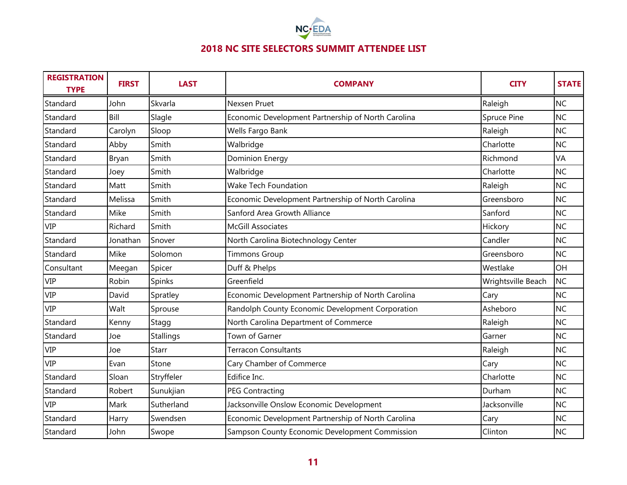

| <b>REGISTRATION</b><br><b>TYPE</b> | <b>FIRST</b> | <b>LAST</b>  | <b>COMPANY</b>                                     | <b>CITY</b>        | <b>STATE</b> |
|------------------------------------|--------------|--------------|----------------------------------------------------|--------------------|--------------|
| Standard                           | John         | Skvarla      | Nexsen Pruet                                       | Raleigh            | <b>NC</b>    |
| Standard                           | Bill         | Slagle       | Economic Development Partnership of North Carolina | Spruce Pine        | <b>NC</b>    |
| Standard                           | Carolyn      | Sloop        | Wells Fargo Bank                                   | Raleigh            | <b>NC</b>    |
| Standard                           | Abby         | Smith        | Walbridge                                          | Charlotte          | <b>NC</b>    |
| Standard                           | Bryan        | Smith        | <b>Dominion Energy</b>                             | Richmond           | VA           |
| Standard                           | Joey         | Smith        | Walbridge                                          | Charlotte          | <b>NC</b>    |
| Standard                           | Matt         | Smith        | <b>Wake Tech Foundation</b>                        | Raleigh            | <b>NC</b>    |
| Standard                           | Melissa      | Smith        | Economic Development Partnership of North Carolina | Greensboro         | <b>NC</b>    |
| Standard                           | Mike         | Smith        | Sanford Area Growth Alliance                       | Sanford            | <b>NC</b>    |
| <b>VIP</b>                         | Richard      | Smith        | <b>McGill Associates</b>                           | Hickory            | <b>NC</b>    |
| Standard                           | Jonathan     | Snover       | North Carolina Biotechnology Center                | Candler            | <b>NC</b>    |
| Standard                           | Mike         | Solomon      | <b>Timmons Group</b>                               | Greensboro         | <b>NC</b>    |
| Consultant                         | Meegan       | Spicer       | Duff & Phelps                                      | Westlake           | OH           |
| <b>VIP</b>                         | Robin        | Spinks       | Greenfield                                         | Wrightsville Beach | <b>NC</b>    |
| <b>VIP</b>                         | David        | Spratley     | Economic Development Partnership of North Carolina | Cary               | <b>NC</b>    |
| <b>VIP</b>                         | Walt         | Sprouse      | Randolph County Economic Development Corporation   | Asheboro           | <b>NC</b>    |
| Standard                           | Kenny        | Stagg        | North Carolina Department of Commerce              | Raleigh            | <b>NC</b>    |
| Standard                           | Joe          | Stallings    | Town of Garner                                     | Garner             | <b>NC</b>    |
| <b>VIP</b>                         | Joe          | <b>Starr</b> | <b>Terracon Consultants</b>                        | Raleigh            | <b>NC</b>    |
| <b>VIP</b>                         | Evan         | Stone        | Cary Chamber of Commerce                           | Cary               | <b>NC</b>    |
| Standard                           | Sloan        | Stryffeler   | Edifice Inc.                                       | Charlotte          | <b>NC</b>    |
| Standard                           | Robert       | Sunukjian    | <b>PEG Contracting</b>                             | Durham             | <b>NC</b>    |
| <b>VIP</b>                         | Mark         | Sutherland   | Jacksonville Onslow Economic Development           | Jacksonville       | <b>NC</b>    |
| Standard                           | Harry        | Swendsen     | Economic Development Partnership of North Carolina | Cary               | <b>NC</b>    |
| Standard                           | John         | Swope        | Sampson County Economic Development Commission     | Clinton            | <b>NC</b>    |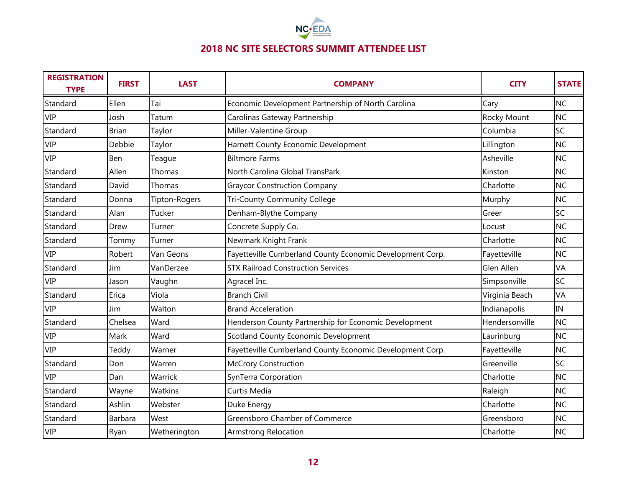

| <b>REGISTRATION</b><br><b>TYPE</b> | <b>FIRST</b> | <b>LAST</b>   | <b>COMPANY</b>                                            | <b>CITY</b>    | <b>STATE</b> |
|------------------------------------|--------------|---------------|-----------------------------------------------------------|----------------|--------------|
| Standard                           | Ellen        | Tai           | Economic Development Partnership of North Carolina        | Cary           | <b>NC</b>    |
| <b>VIP</b>                         | Josh         | Tatum         | Carolinas Gateway Partnership                             | Rocky Mount    | <b>NC</b>    |
| Standard                           | Brian        | Taylor        | Miller-Valentine Group                                    | Columbia       | SC           |
| <b>VIP</b>                         | Debbie       | Taylor        | Harnett County Economic Development                       | Lillington     | <b>NC</b>    |
| <b>VIP</b>                         | Ben          | Teague        | <b>Biltmore Farms</b>                                     | Asheville      | <b>NC</b>    |
| Standard                           | Allen        | Thomas        | North Carolina Global TransPark                           | Kinston        | <b>NC</b>    |
| Standard                           | David        | Thomas        | <b>Graycor Construction Company</b>                       | Charlotte      | <b>NC</b>    |
| Standard                           | Donna        | Tipton-Rogers | Tri-County Community College                              | Murphy         | <b>NC</b>    |
| Standard                           | Alan         | Tucker        | Denham-Blythe Company                                     | Greer          | SC           |
| Standard                           | Drew         | Turner        | Concrete Supply Co.                                       | Locust         | <b>NC</b>    |
| Standard                           | Tommy        | Turner        | Newmark Knight Frank                                      | Charlotte      | <b>NC</b>    |
| <b>VIP</b>                         | Robert       | Van Geons     | Fayetteville Cumberland County Economic Development Corp. | Fayetteville   | <b>NC</b>    |
| Standard                           | Jim          | VanDerzee     | <b>STX Railroad Construction Services</b>                 | Glen Allen     | VA           |
| <b>VIP</b>                         | Jason        | Vaughn        | Agracel Inc.                                              | Simpsonville   | SC           |
| Standard                           | Erica        | Viola         | <b>Branch Civil</b>                                       | Virginia Beach | VA           |
| <b>VIP</b>                         | Jim          | Walton        | <b>Brand Acceleration</b>                                 | Indianapolis   | IN           |
| Standard                           | Chelsea      | Ward          | Henderson County Partnership for Economic Development     | Hendersonville | <b>NC</b>    |
| <b>VIP</b>                         | Mark         | Ward          | Scotland County Economic Development                      | Laurinburg     | <b>NC</b>    |
| <b>VIP</b>                         | Teddy        | Warner        | Fayetteville Cumberland County Economic Development Corp. | Fayetteville   | <b>NC</b>    |
| Standard                           | Don          | Warren        | <b>McCrory Construction</b>                               | Greenville     | SC           |
| <b>VIP</b>                         | Dan          | Warrick       | SynTerra Corporation                                      | Charlotte      | <b>NC</b>    |
| Standard                           | Wayne        | Watkins       | Curtis Media                                              | Raleigh        | <b>NC</b>    |
| Standard                           | Ashlin       | Webster       | Duke Energy                                               | Charlotte      | <b>NC</b>    |
| Standard                           | Barbara      | West          | Greensboro Chamber of Commerce                            | Greensboro     | <b>NC</b>    |
| <b>VIP</b>                         | Ryan         | Wetherington  | <b>Armstrong Relocation</b>                               | Charlotte      | <b>NC</b>    |